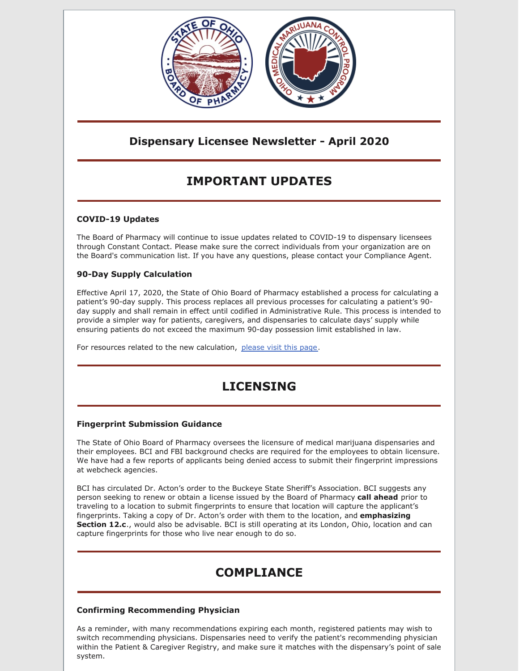

### **Dispensary Licensee Newsletter - April 2020**

# **IMPORTANT UPDATES**

#### **COVID-19 Updates**

The Board of Pharmacy will continue to issue updates related to COVID-19 to dispensary licensees through Constant Contact. Please make sure the correct individuals from your organization are on the Board's communication list. If you have any questions, please contact your Compliance Agent.

#### **90-Day Supply Calculation**

Effective April 17, 2020, the State of Ohio Board of Pharmacy established a process for calculating a patient's 90-day supply. This process replaces all previous processes for calculating a patient's 90 day supply and shall remain in effect until codified in Administrative Rule. This process is intended to provide a simpler way for patients, caregivers, and dispensaries to calculate days' supply while ensuring patients do not exceed the maximum 90-day possession limit established in law.

For resources related to the new calculation, [please](https://www.medicalmarijuana.ohio.gov/90DaySupply) visit this page.

# **LICENSING**

#### **Fingerprint Submission Guidance**

The State of Ohio Board of Pharmacy oversees the licensure of medical marijuana dispensaries and their employees. BCI and FBI background checks are required for the employees to obtain licensure. We have had a few reports of applicants being denied access to submit their fingerprint impressions at webcheck agencies.

BCI has circulated Dr. Acton's order to the Buckeye State Sheriff's Association. BCI suggests any person seeking to renew or obtain a license issued by the Board of Pharmacy **call ahead** prior to traveling to a location to submit fingerprints to ensure that location will capture the applicant's fingerprints. Taking a copy of Dr. Acton's order with them to the location, and **emphasizing Section 12.c**., would also be advisable. BCI is still operating at its London, Ohio, location and can capture fingerprints for those who live near enough to do so.

# **COMPLIANCE**

#### **Confirming Recommending Physician**

As a reminder, with many recommendations expiring each month, registered patients may wish to switch recommending physicians. Dispensaries need to verify the patient's recommending physician within the Patient & Caregiver Registry, and make sure it matches with the dispensary's point of sale system.